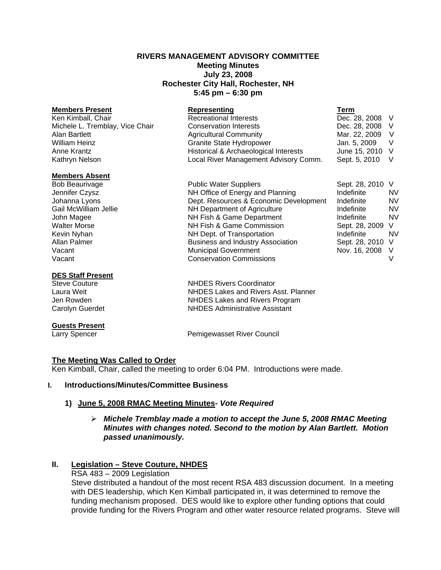### **RIVERS MANAGEMENT ADVISORY COMMITTEE Meeting Minutes July 23, 2008 Rochester City Hall, Rochester, NH 5:45 pm – 6:30 pm**

| <b>Members Present</b>          | Representing                          | Term            |     |
|---------------------------------|---------------------------------------|-----------------|-----|
| Ken Kimball, Chair              | <b>Recreational Interests</b>         | Dec. 28, 2008 V |     |
| Michele L. Tremblay, Vice Chair | <b>Conservation Interests</b>         | Dec. 28, 2008 V |     |
| Alan Bartlett                   | <b>Agricultural Community</b>         | Mar. 22, 2009   | V.  |
| William Heinz                   | <b>Granite State Hydropower</b>       | Jan. 5, 2009    | - V |
| Anne Krantz                     | Historical & Archaeological Interests | June 15, 2010 V |     |
| Kathryn Nelson                  | Local River Management Advisory Comm. | Sept. 5, 2010 V |     |

#### **Members Absent**

#### **DES Staff Present**

#### **Guests Present**

Bob Beaurivage The Suppliers Communic Water Suppliers Sept. 28, 2010 V Jennifer Czysz NH Office of Energy and Planning Indefinite NV Johanna Lyons Dept. Resources & Economic Development Indefinite NV Gail McWilliam Jellie **Number 19 NH Department of Agriculture** Indefinite Indefinite NV John Magee NH Fish & Game Department Indefinite NV Walter Morse **NH Fish & Game Commission** Sept. 28, 2009 V Kevin Nyhan **NH Dept.** of Transportation **NH Dept.** of Transportation **Indefinite** NV<br>Allan Palmer **Independent Contract Property Association** Sept. 28, 2010, V Business and Industry Association Sept. 28, 2010 V Vacant Municipal Government Nov. 16, 2008 V Vacant Conservation Commissions V

Steve Couture **NHDES Rivers Coordinator** Laura Weit NHDES Lakes and Rivers Asst. Planner Jen Rowden NHDES Lakes and Rivers Program Carolyn Guerdet **NHDES** Administrative Assistant

Larry Spencer **Pemigewasset River Council** 

# **The Meeting Was Called to Order**

Ken Kimball, Chair, called the meeting to order 6:04 PM. Introductions were made.

# **I. Introductions/Minutes/Committee Business**

# **1) June 5, 2008 RMAC Meeting Minutes-** *Vote Required*

### ¾ *Michele Tremblay made a motion to accept the June 5, 2008 RMAC Meeting Minutes with changes noted. Second to the motion by Alan Bartlett. Motion passed unanimously.*

# **II. Legislation – Steve Couture, NHDES**

RSA 483 – 2009 Legislation

 Steve distributed a handout of the most recent RSA 483 discussion document. In a meeting with DES leadership, which Ken Kimball participated in, it was determined to remove the funding mechanism proposed. DES would like to explore other funding options that could provide funding for the Rivers Program and other water resource related programs. Steve will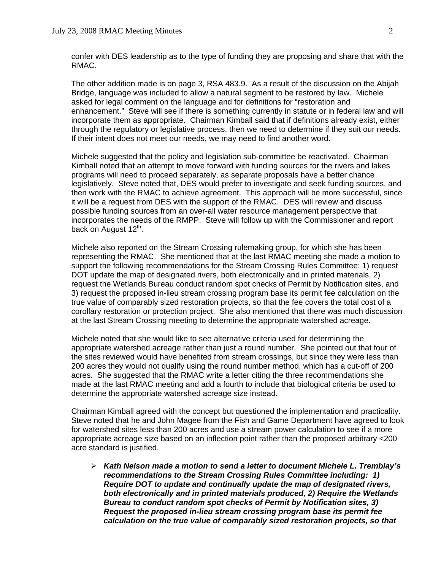confer with DES leadership as to the type of funding they are proposing and share that with the RMAC.

 The other addition made is on page 3, RSA 483.9. As a result of the discussion on the Abijah Bridge, language was included to allow a natural segment to be restored by law. Michele asked for legal comment on the language and for definitions for "restoration and enhancement." Steve will see if there is something currently in statute or in federal law and will incorporate them as appropriate. Chairman Kimball said that if definitions already exist, either through the regulatory or legislative process, then we need to determine if they suit our needs. If their intent does not meet our needs, we may need to find another word.

Michele suggested that the policy and legislation sub-committee be reactivated. Chairman Kimball noted that an attempt to move forward with funding sources for the rivers and lakes programs will need to proceed separately, as separate proposals have a better chance legislatively. Steve noted that, DES would prefer to investigate and seek funding sources, and then work with the RMAC to achieve agreement. This approach will be more successful, since it will be a request from DES with the support of the RMAC. DES will review and discuss possible funding sources from an over-all water resource management perspective that incorporates the needs of the RMPP. Steve will follow up with the Commissioner and report back on August  $12<sup>th</sup>$ .

 Michele also reported on the Stream Crossing rulemaking group, for which she has been representing the RMAC. She mentioned that at the last RMAC meeting she made a motion to support the following recommendations for the Stream Crossing Rules Committee: 1) request DOT update the map of designated rivers, both electronically and in printed materials, 2) request the Wetlands Bureau conduct random spot checks of Permit by Notification sites, and 3) request the proposed in-lieu stream crossing program base its permit fee calculation on the true value of comparably sized restoration projects, so that the fee covers the total cost of a corollary restoration or protection project. She also mentioned that there was much discussion at the last Stream Crossing meeting to determine the appropriate watershed acreage.

 Michele noted that she would like to see alternative criteria used for determining the appropriate watershed acreage rather than just a round number. She pointed out that four of the sites reviewed would have benefited from stream crossings, but since they were less than 200 acres they would not qualify using the round number method, which has a cut-off of 200 acres. She suggested that the RMAC write a letter citing the three recommendations she made at the last RMAC meeting and add a fourth to include that biological criteria be used to determine the appropriate watershed acreage size instead.

Chairman Kimball agreed with the concept but questioned the implementation and practicality. Steve noted that he and John Magee from the Fish and Game Department have agreed to look for watershed sites less than 200 acres and use a stream power calculation to see if a more appropriate acreage size based on an inflection point rather than the proposed arbitrary <200 acre standard is justified.

¾ *Kath Nelson made a motion to send a letter to document Michele L. Tremblay's recommendations to the Stream Crossing Rules Committee including: 1) Require DOT to update and continually update the map of designated rivers, both electronically and in printed materials produced, 2) Require the Wetlands Bureau to conduct random spot checks of Permit by Notification sites, 3) Request the proposed in-lieu stream crossing program base its permit fee calculation on the true value of comparably sized restoration projects, so that*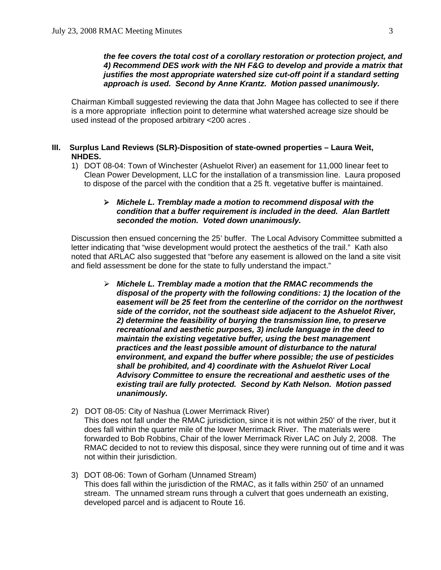### *the fee covers the total cost of a corollary restoration or protection project, and 4) Recommend DES work with the NH F&G to develop and provide a matrix that justifies the most appropriate watershed size cut-off point if a standard setting approach is used. Second by Anne Krantz. Motion passed unanimously.*

Chairman Kimball suggested reviewing the data that John Magee has collected to see if there is a more appropriate inflection point to determine what watershed acreage size should be used instead of the proposed arbitrary <200 acres .

### **III. Surplus Land Reviews (SLR)-Disposition of state-owned properties – Laura Weit, NHDES.**

1) DOT 08-04: Town of Winchester (Ashuelot River) an easement for 11,000 linear feet to Clean Power Development, LLC for the installation of a transmission line. Laura proposed to dispose of the parcel with the condition that a 25 ft. vegetative buffer is maintained.

### ¾ *Michele L. Tremblay made a motion to recommend disposal with the condition that a buffer requirement is included in the deed. Alan Bartlett seconded the motion. Voted down unanimously.*

Discussion then ensued concerning the 25' buffer. The Local Advisory Committee submitted a letter indicating that "wise development would protect the aesthetics of the trail." Kath also noted that ARLAC also suggested that "before any easement is allowed on the land a site visit and field assessment be done for the state to fully understand the impact."

- ¾ *Michele L. Tremblay made a motion that the RMAC recommends the disposal of the property with the following conditions: 1) the location of the easement will be 25 feet from the centerline of the corridor on the northwest side of the corridor, not the southeast side adjacent to the Ashuelot River, 2) determine the feasibility of burying the transmission line, to preserve recreational and aesthetic purposes, 3) include language in the deed to maintain the existing vegetative buffer, using the best management practices and the least possible amount of disturbance to the natural environment, and expand the buffer where possible; the use of pesticides shall be prohibited, and 4) coordinate with the Ashuelot River Local Advisory Committee to ensure the recreational and aesthetic uses of the existing trail are fully protected. Second by Kath Nelson. Motion passed unanimously.*
- 2) DOT 08-05: City of Nashua (Lower Merrimack River) This does not fall under the RMAC jurisdiction, since it is not within 250' of the river, but it does fall within the quarter mile of the lower Merrimack River. The materials were forwarded to Bob Robbins, Chair of the lower Merrimack River LAC on July 2, 2008. The RMAC decided to not to review this disposal, since they were running out of time and it was not within their jurisdiction.
- 3) DOT 08-06: Town of Gorham (Unnamed Stream) This does fall within the jurisdiction of the RMAC, as it falls within 250' of an unnamed stream. The unnamed stream runs through a culvert that goes underneath an existing, developed parcel and is adjacent to Route 16.